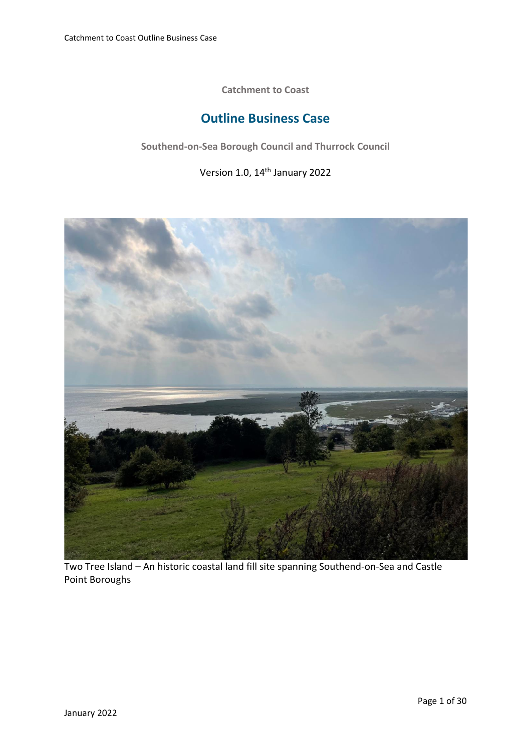**Catchment to Coast**

## **Outline Business Case**

**Southend-on-Sea Borough Council and Thurrock Council**

Version 1.0, 14th January 2022



Two Tree Island – An historic coastal land fill site spanning Southend-on-Sea and Castle Point Boroughs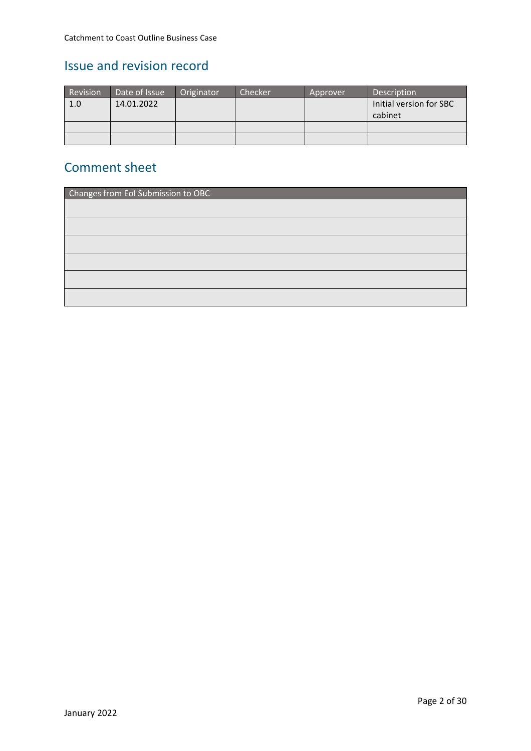## Issue and revision record

| Revision | Date of Issue | Originator | Checker | Approver | Description                        |
|----------|---------------|------------|---------|----------|------------------------------------|
| 1.0      | 14.01.2022    |            |         |          | Initial version for SBC<br>cabinet |
|          |               |            |         |          |                                    |
|          |               |            |         |          |                                    |

### Comment sheet

| Changes from EoI Submission to OBC |  |  |  |  |
|------------------------------------|--|--|--|--|
|                                    |  |  |  |  |
|                                    |  |  |  |  |
|                                    |  |  |  |  |
|                                    |  |  |  |  |
|                                    |  |  |  |  |
|                                    |  |  |  |  |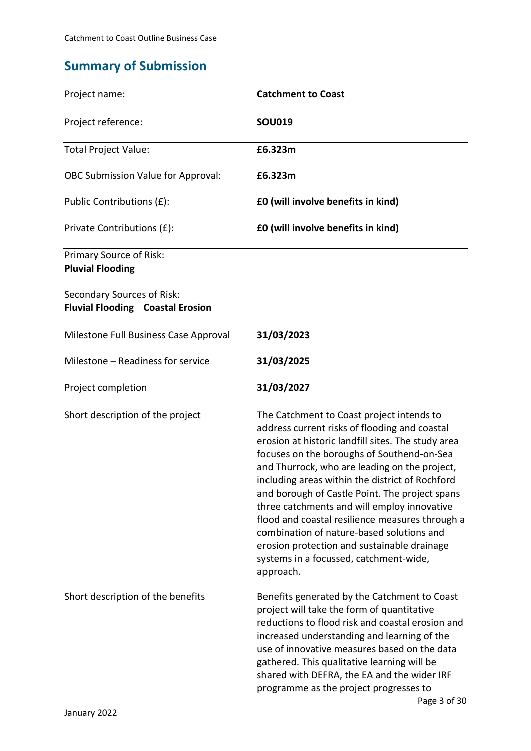# **Summary of Submission**

| Project name:                                                         | <b>Catchment to Coast</b>                                                                                                                                                                                                                                                                                                                                                                                                                                                                                                                                                                                 |
|-----------------------------------------------------------------------|-----------------------------------------------------------------------------------------------------------------------------------------------------------------------------------------------------------------------------------------------------------------------------------------------------------------------------------------------------------------------------------------------------------------------------------------------------------------------------------------------------------------------------------------------------------------------------------------------------------|
| Project reference:                                                    | <b>SOU019</b>                                                                                                                                                                                                                                                                                                                                                                                                                                                                                                                                                                                             |
| <b>Total Project Value:</b>                                           | £6.323m                                                                                                                                                                                                                                                                                                                                                                                                                                                                                                                                                                                                   |
| <b>OBC Submission Value for Approval:</b>                             | £6.323m                                                                                                                                                                                                                                                                                                                                                                                                                                                                                                                                                                                                   |
| Public Contributions (£):                                             | £0 (will involve benefits in kind)                                                                                                                                                                                                                                                                                                                                                                                                                                                                                                                                                                        |
| Private Contributions (£):                                            | £0 (will involve benefits in kind)                                                                                                                                                                                                                                                                                                                                                                                                                                                                                                                                                                        |
| Primary Source of Risk:<br><b>Pluvial Flooding</b>                    |                                                                                                                                                                                                                                                                                                                                                                                                                                                                                                                                                                                                           |
| Secondary Sources of Risk:<br><b>Fluvial Flooding Coastal Erosion</b> |                                                                                                                                                                                                                                                                                                                                                                                                                                                                                                                                                                                                           |
| Milestone Full Business Case Approval                                 | 31/03/2023                                                                                                                                                                                                                                                                                                                                                                                                                                                                                                                                                                                                |
| Milestone - Readiness for service                                     | 31/03/2025                                                                                                                                                                                                                                                                                                                                                                                                                                                                                                                                                                                                |
| Project completion                                                    | 31/03/2027                                                                                                                                                                                                                                                                                                                                                                                                                                                                                                                                                                                                |
| Short description of the project                                      | The Catchment to Coast project intends to<br>address current risks of flooding and coastal<br>erosion at historic landfill sites. The study area<br>focuses on the boroughs of Southend-on-Sea<br>and Thurrock, who are leading on the project,<br>including areas within the district of Rochford<br>and borough of Castle Point. The project spans<br>three catchments and will employ innovative<br>flood and coastal resilience measures through a<br>combination of nature-based solutions and<br>erosion protection and sustainable drainage<br>systems in a focussed, catchment-wide,<br>approach. |
| Short description of the benefits                                     | Benefits generated by the Catchment to Coast<br>project will take the form of quantitative<br>reductions to flood risk and coastal erosion and<br>increased understanding and learning of the<br>use of innovative measures based on the data<br>gathered. This qualitative learning will be<br>shared with DEFRA, the EA and the wider IRF<br>programme as the project progresses to<br>Page 3 of 30                                                                                                                                                                                                     |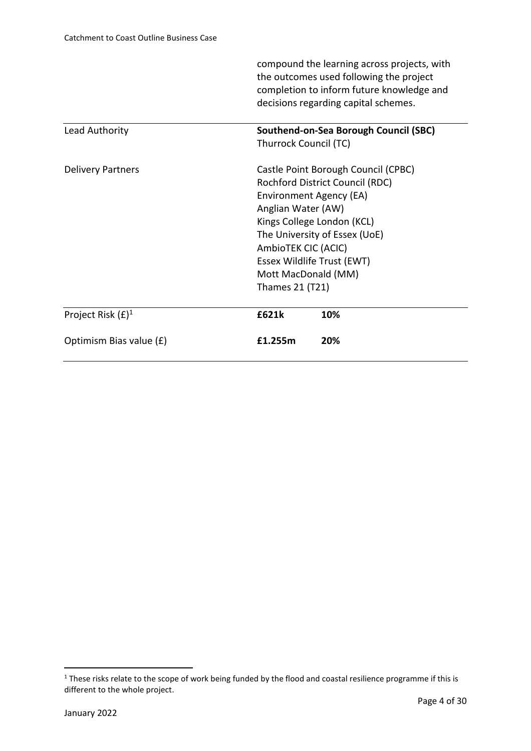|                          |                               | compound the learning across projects, with<br>the outcomes used following the project<br>completion to inform future knowledge and<br>decisions regarding capital schemes. |  |  |
|--------------------------|-------------------------------|-----------------------------------------------------------------------------------------------------------------------------------------------------------------------------|--|--|
| Lead Authority           |                               | Southend-on-Sea Borough Council (SBC)                                                                                                                                       |  |  |
|                          | Thurrock Council (TC)         |                                                                                                                                                                             |  |  |
| <b>Delivery Partners</b> |                               | Castle Point Borough Council (CPBC)                                                                                                                                         |  |  |
|                          |                               | Rochford District Council (RDC)                                                                                                                                             |  |  |
|                          | Environment Agency (EA)       |                                                                                                                                                                             |  |  |
|                          | Anglian Water (AW)            |                                                                                                                                                                             |  |  |
|                          | Kings College London (KCL)    |                                                                                                                                                                             |  |  |
|                          | The University of Essex (UoE) |                                                                                                                                                                             |  |  |
|                          | AmbioTEK CIC (ACIC)           |                                                                                                                                                                             |  |  |
|                          | Essex Wildlife Trust (EWT)    |                                                                                                                                                                             |  |  |
|                          | Mott MacDonald (MM)           |                                                                                                                                                                             |  |  |
|                          | Thames 21 (T21)               |                                                                                                                                                                             |  |  |
| Project Risk $(E)^1$     | £621k                         | 10%                                                                                                                                                                         |  |  |
| Optimism Bias value (£)  | £1.255m                       | 20%                                                                                                                                                                         |  |  |

<sup>&</sup>lt;sup>1</sup> These risks relate to the scope of work being funded by the flood and coastal resilience programme if this is different to the whole project.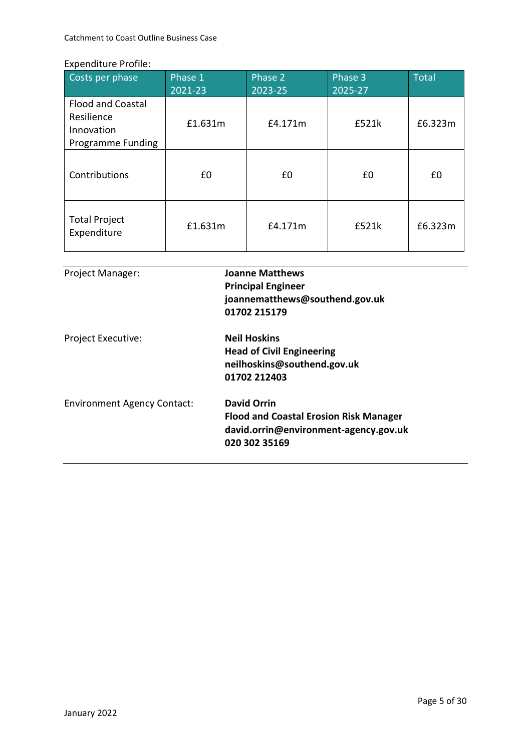Catchment to Coast Outline Business Case

#### Expenditure Profile:

| Costs per phase                                                                  | Phase 1<br>2021-23 | Phase <sub>2</sub><br>2023-25 | Phase 3<br>2025-27 | <b>Total</b> |
|----------------------------------------------------------------------------------|--------------------|-------------------------------|--------------------|--------------|
| <b>Flood and Coastal</b><br>Resilience<br>Innovation<br><b>Programme Funding</b> | £1.631m            | £4.171m                       | £521k              | £6.323m      |
| Contributions                                                                    | £0                 | £0                            | £0                 | £0           |
| <b>Total Project</b><br>Expenditure                                              | £1.631m            | £4.171m                       | £521k              | £6.323m      |

| <b>Project Manager:</b>            | <b>Joanne Matthews</b><br><b>Principal Engineer</b><br>joannematthews@southend.gov.uk<br>01702 215179                         |
|------------------------------------|-------------------------------------------------------------------------------------------------------------------------------|
| <b>Project Executive:</b>          | <b>Neil Hoskins</b><br><b>Head of Civil Engineering</b><br>neilhoskins@southend.gov.uk<br>01702 212403                        |
| <b>Environment Agency Contact:</b> | <b>David Orrin</b><br><b>Flood and Coastal Erosion Risk Manager</b><br>david.orrin@environment-agency.gov.uk<br>020 302 35169 |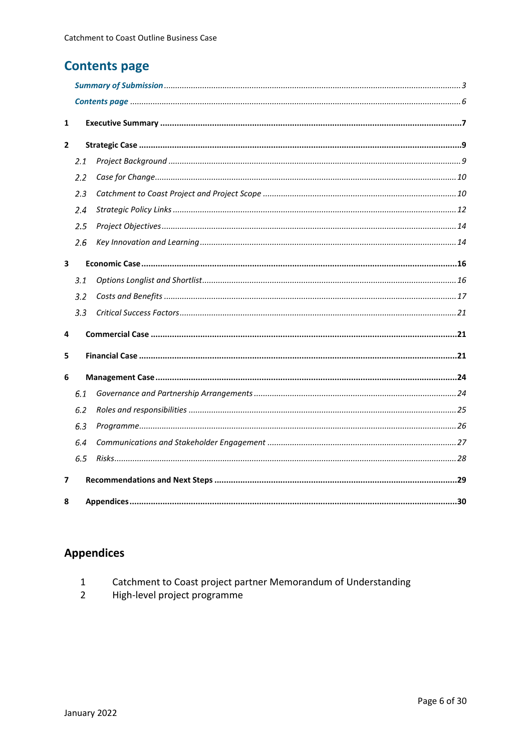# **Contents page**

| 1 |     |  |  |  |  |
|---|-----|--|--|--|--|
| 2 |     |  |  |  |  |
|   | 2.1 |  |  |  |  |
|   | 2.2 |  |  |  |  |
|   | 2.3 |  |  |  |  |
|   | 2.4 |  |  |  |  |
|   | 2.5 |  |  |  |  |
|   | 2.6 |  |  |  |  |
| 3 |     |  |  |  |  |
|   | 3.1 |  |  |  |  |
|   | 3.2 |  |  |  |  |
|   | 3.3 |  |  |  |  |
| 4 |     |  |  |  |  |
| 5 |     |  |  |  |  |
| 6 |     |  |  |  |  |
|   | 6.1 |  |  |  |  |
|   | 6.2 |  |  |  |  |
|   | 6.3 |  |  |  |  |
|   | 6.4 |  |  |  |  |
|   | 6.5 |  |  |  |  |
| 7 |     |  |  |  |  |
| 8 |     |  |  |  |  |

# **Appendices**

High-level project programme  $\overline{2}$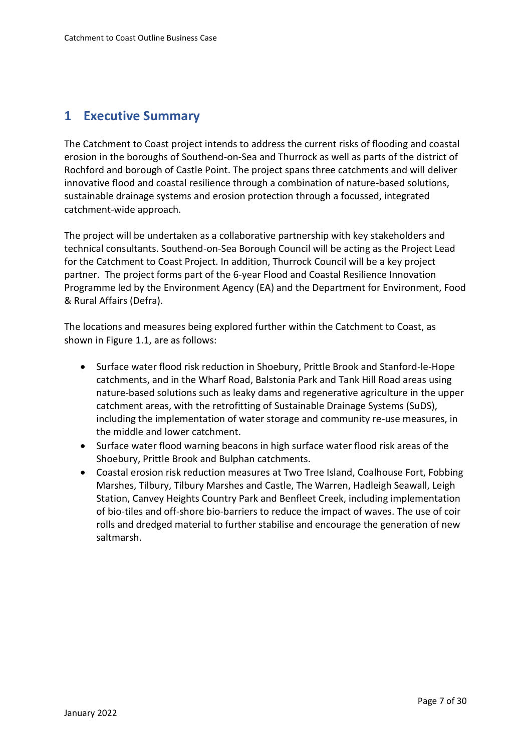### **1 Executive Summary**

The Catchment to Coast project intends to address the current risks of flooding and coastal erosion in the boroughs of Southend-on-Sea and Thurrock as well as parts of the district of Rochford and borough of Castle Point. The project spans three catchments and will deliver innovative flood and coastal resilience through a combination of nature-based solutions, sustainable drainage systems and erosion protection through a focussed, integrated catchment-wide approach.

The project will be undertaken as a collaborative partnership with key stakeholders and technical consultants. Southend-on-Sea Borough Council will be acting as the Project Lead for the Catchment to Coast Project. In addition, Thurrock Council will be a key project partner. The project forms part of the 6-year Flood and Coastal Resilience Innovation Programme led by the Environment Agency (EA) and the Department for Environment, Food & Rural Affairs (Defra).

The locations and measures being explored further within the Catchment to Coast, as shown in Figure 1.1, are as follows:

- Surface water flood risk reduction in Shoebury, Prittle Brook and Stanford-le-Hope catchments, and in the Wharf Road, Balstonia Park and Tank Hill Road areas using nature-based solutions such as leaky dams and regenerative agriculture in the upper catchment areas, with the retrofitting of Sustainable Drainage Systems (SuDS), including the implementation of water storage and community re-use measures, in the middle and lower catchment.
- Surface water flood warning beacons in high surface water flood risk areas of the Shoebury, Prittle Brook and Bulphan catchments.
- Coastal erosion risk reduction measures at Two Tree Island, Coalhouse Fort, Fobbing Marshes, Tilbury, Tilbury Marshes and Castle, The Warren, Hadleigh Seawall, Leigh Station, Canvey Heights Country Park and Benfleet Creek, including implementation of bio-tiles and off-shore bio-barriers to reduce the impact of waves. The use of coir rolls and dredged material to further stabilise and encourage the generation of new saltmarsh.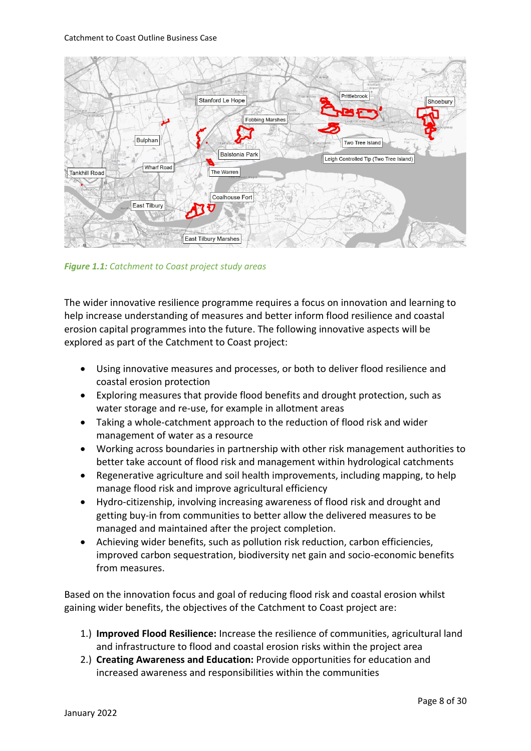#### Catchment to Coast Outline Business Case



*Figure 1.1: Catchment to Coast project study areas*

The wider innovative resilience programme requires a focus on innovation and learning to help increase understanding of measures and better inform flood resilience and coastal erosion capital programmes into the future. The following innovative aspects will be explored as part of the Catchment to Coast project:

- Using innovative measures and processes, or both to deliver flood resilience and coastal erosion protection
- Exploring measures that provide flood benefits and drought protection, such as water storage and re-use, for example in allotment areas
- Taking a whole-catchment approach to the reduction of flood risk and wider management of water as a resource
- Working across boundaries in partnership with other risk management authorities to better take account of flood risk and management within hydrological catchments
- Regenerative agriculture and soil health improvements, including mapping, to help manage flood risk and improve agricultural efficiency
- Hydro-citizenship, involving increasing awareness of flood risk and drought and getting buy-in from communities to better allow the delivered measures to be managed and maintained after the project completion.
- Achieving wider benefits, such as pollution risk reduction, carbon efficiencies, improved carbon sequestration, biodiversity net gain and socio-economic benefits from measures.

Based on the innovation focus and goal of reducing flood risk and coastal erosion whilst gaining wider benefits, the objectives of the Catchment to Coast project are:

- 1.) **Improved Flood Resilience:** Increase the resilience of communities, agricultural land and infrastructure to flood and coastal erosion risks within the project area
- 2.) **Creating Awareness and Education:** Provide opportunities for education and increased awareness and responsibilities within the communities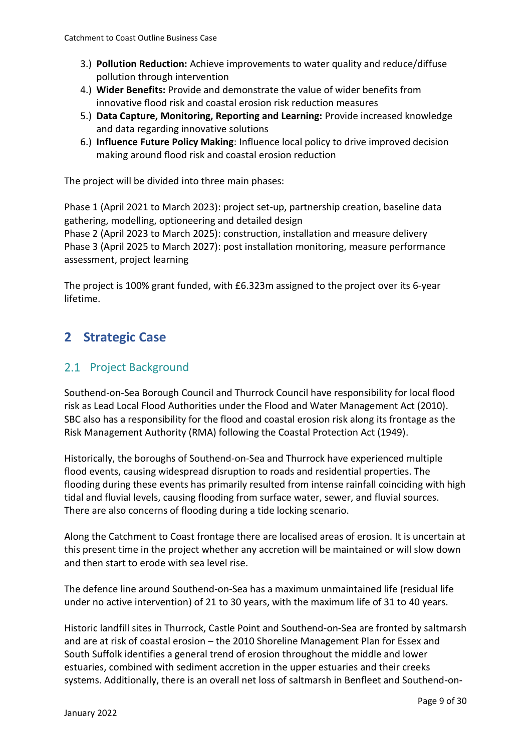- 3.) **Pollution Reduction:** Achieve improvements to water quality and reduce/diffuse pollution through intervention
- 4.) **Wider Benefits:** Provide and demonstrate the value of wider benefits from innovative flood risk and coastal erosion risk reduction measures
- 5.) **Data Capture, Monitoring, Reporting and Learning:** Provide increased knowledge and data regarding innovative solutions
- 6.) **Influence Future Policy Making**: Influence local policy to drive improved decision making around flood risk and coastal erosion reduction

The project will be divided into three main phases:

Phase 1 (April 2021 to March 2023): project set-up, partnership creation, baseline data gathering, modelling, optioneering and detailed design Phase 2 (April 2023 to March 2025): construction, installation and measure delivery Phase 3 (April 2025 to March 2027): post installation monitoring, measure performance assessment, project learning

The project is 100% grant funded, with £6.323m assigned to the project over its 6-year lifetime.

### **2 Strategic Case**

#### 2.1 Project Background

Southend-on-Sea Borough Council and Thurrock Council have responsibility for local flood risk as Lead Local Flood Authorities under the Flood and Water Management Act (2010). SBC also has a responsibility for the flood and coastal erosion risk along its frontage as the Risk Management Authority (RMA) following the Coastal Protection Act (1949).

Historically, the boroughs of Southend-on-Sea and Thurrock have experienced multiple flood events, causing widespread disruption to roads and residential properties. The flooding during these events has primarily resulted from intense rainfall coinciding with high tidal and fluvial levels, causing flooding from surface water, sewer, and fluvial sources. There are also concerns of flooding during a tide locking scenario.

Along the Catchment to Coast frontage there are localised areas of erosion. It is uncertain at this present time in the project whether any accretion will be maintained or will slow down and then start to erode with sea level rise.

The defence line around Southend-on-Sea has a maximum unmaintained life (residual life under no active intervention) of 21 to 30 years, with the maximum life of 31 to 40 years.

Historic landfill sites in Thurrock, Castle Point and Southend-on-Sea are fronted by saltmarsh and are at risk of coastal erosion – the 2010 Shoreline Management Plan for Essex and South Suffolk identifies a general trend of erosion throughout the middle and lower estuaries, combined with sediment accretion in the upper estuaries and their creeks systems. Additionally, there is an overall net loss of saltmarsh in Benfleet and Southend-on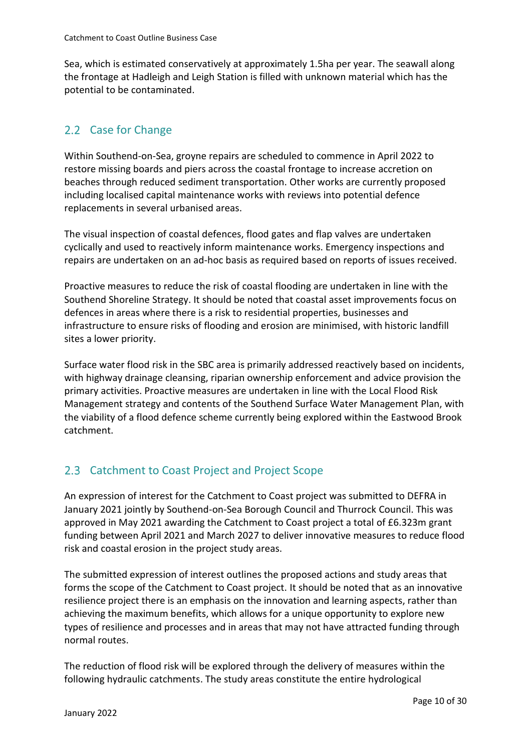Sea, which is estimated conservatively at approximately 1.5ha per year. The seawall along the frontage at Hadleigh and Leigh Station is filled with unknown material which has the potential to be contaminated.

### 2.2 Case for Change

Within Southend-on-Sea, groyne repairs are scheduled to commence in April 2022 to restore missing boards and piers across the coastal frontage to increase accretion on beaches through reduced sediment transportation. Other works are currently proposed including localised capital maintenance works with reviews into potential defence replacements in several urbanised areas.

The visual inspection of coastal defences, flood gates and flap valves are undertaken cyclically and used to reactively inform maintenance works. Emergency inspections and repairs are undertaken on an ad-hoc basis as required based on reports of issues received.

Proactive measures to reduce the risk of coastal flooding are undertaken in line with the Southend Shoreline Strategy. It should be noted that coastal asset improvements focus on defences in areas where there is a risk to residential properties, businesses and infrastructure to ensure risks of flooding and erosion are minimised, with historic landfill sites a lower priority.

Surface water flood risk in the SBC area is primarily addressed reactively based on incidents, with highway drainage cleansing, riparian ownership enforcement and advice provision the primary activities. Proactive measures are undertaken in line with the Local Flood Risk Management strategy and contents of the Southend Surface Water Management Plan, with the viability of a flood defence scheme currently being explored within the Eastwood Brook catchment.

### 2.3 Catchment to Coast Project and Project Scope

An expression of interest for the Catchment to Coast project was submitted to DEFRA in January 2021 jointly by Southend-on-Sea Borough Council and Thurrock Council. This was approved in May 2021 awarding the Catchment to Coast project a total of £6.323m grant funding between April 2021 and March 2027 to deliver innovative measures to reduce flood risk and coastal erosion in the project study areas.

The submitted expression of interest outlines the proposed actions and study areas that forms the scope of the Catchment to Coast project. It should be noted that as an innovative resilience project there is an emphasis on the innovation and learning aspects, rather than achieving the maximum benefits, which allows for a unique opportunity to explore new types of resilience and processes and in areas that may not have attracted funding through normal routes.

The reduction of flood risk will be explored through the delivery of measures within the following hydraulic catchments. The study areas constitute the entire hydrological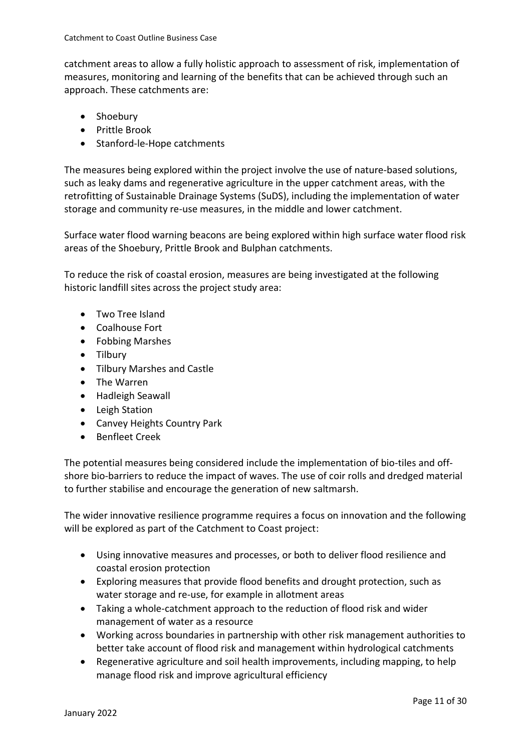catchment areas to allow a fully holistic approach to assessment of risk, implementation of measures, monitoring and learning of the benefits that can be achieved through such an approach. These catchments are:

- Shoebury
- Prittle Brook
- Stanford-le-Hope catchments

The measures being explored within the project involve the use of nature-based solutions, such as leaky dams and regenerative agriculture in the upper catchment areas, with the retrofitting of Sustainable Drainage Systems (SuDS), including the implementation of water storage and community re-use measures, in the middle and lower catchment.

Surface water flood warning beacons are being explored within high surface water flood risk areas of the Shoebury, Prittle Brook and Bulphan catchments.

To reduce the risk of coastal erosion, measures are being investigated at the following historic landfill sites across the project study area:

- Two Tree Island
- Coalhouse Fort
- Fobbing Marshes
- Tilbury
- Tilbury Marshes and Castle
- The Warren
- Hadleigh Seawall
- Leigh Station
- Canvey Heights Country Park
- Benfleet Creek

The potential measures being considered include the implementation of bio-tiles and offshore bio-barriers to reduce the impact of waves. The use of coir rolls and dredged material to further stabilise and encourage the generation of new saltmarsh.

The wider innovative resilience programme requires a focus on innovation and the following will be explored as part of the Catchment to Coast project:

- Using innovative measures and processes, or both to deliver flood resilience and coastal erosion protection
- Exploring measures that provide flood benefits and drought protection, such as water storage and re-use, for example in allotment areas
- Taking a whole-catchment approach to the reduction of flood risk and wider management of water as a resource
- Working across boundaries in partnership with other risk management authorities to better take account of flood risk and management within hydrological catchments
- Regenerative agriculture and soil health improvements, including mapping, to help manage flood risk and improve agricultural efficiency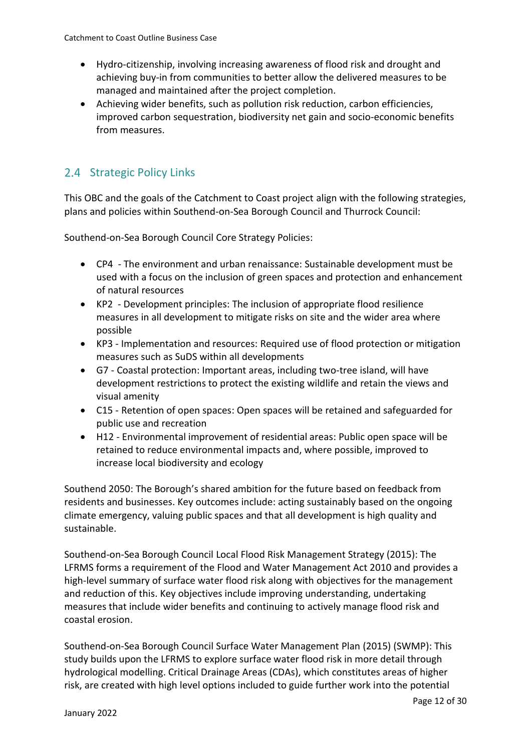- Hydro-citizenship, involving increasing awareness of flood risk and drought and achieving buy-in from communities to better allow the delivered measures to be managed and maintained after the project completion.
- Achieving wider benefits, such as pollution risk reduction, carbon efficiencies, improved carbon sequestration, biodiversity net gain and socio-economic benefits from measures.

#### 2.4 Strategic Policy Links

This OBC and the goals of the Catchment to Coast project align with the following strategies, plans and policies within Southend-on-Sea Borough Council and Thurrock Council:

Southend-on-Sea Borough Council Core Strategy Policies:

- CP4 The environment and urban renaissance: Sustainable development must be used with a focus on the inclusion of green spaces and protection and enhancement of natural resources
- KP2 Development principles: The inclusion of appropriate flood resilience measures in all development to mitigate risks on site and the wider area where possible
- KP3 Implementation and resources: Required use of flood protection or mitigation measures such as SuDS within all developments
- G7 Coastal protection: Important areas, including two-tree island, will have development restrictions to protect the existing wildlife and retain the views and visual amenity
- C15 Retention of open spaces: Open spaces will be retained and safeguarded for public use and recreation
- H12 Environmental improvement of residential areas: Public open space will be retained to reduce environmental impacts and, where possible, improved to increase local biodiversity and ecology

Southend 2050: The Borough's shared ambition for the future based on feedback from residents and businesses. Key outcomes include: acting sustainably based on the ongoing climate emergency, valuing public spaces and that all development is high quality and sustainable.

Southend-on-Sea Borough Council Local Flood Risk Management Strategy (2015): The LFRMS forms a requirement of the Flood and Water Management Act 2010 and provides a high-level summary of surface water flood risk along with objectives for the management and reduction of this. Key objectives include improving understanding, undertaking measures that include wider benefits and continuing to actively manage flood risk and coastal erosion.

Southend-on-Sea Borough Council Surface Water Management Plan (2015) (SWMP): This study builds upon the LFRMS to explore surface water flood risk in more detail through hydrological modelling. Critical Drainage Areas (CDAs), which constitutes areas of higher risk, are created with high level options included to guide further work into the potential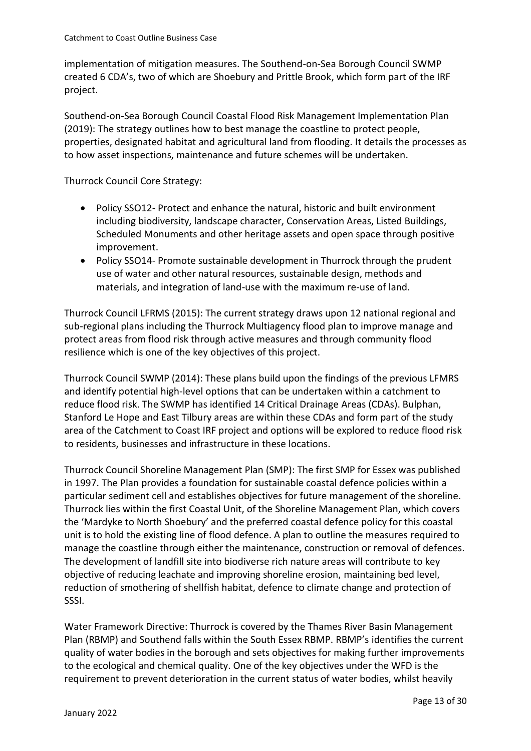implementation of mitigation measures. The Southend-on-Sea Borough Council SWMP created 6 CDA's, two of which are Shoebury and Prittle Brook, which form part of the IRF project.

Southend-on-Sea Borough Council Coastal Flood Risk Management Implementation Plan (2019): The strategy outlines how to best manage the coastline to protect people, properties, designated habitat and agricultural land from flooding. It details the processes as to how asset inspections, maintenance and future schemes will be undertaken.

Thurrock Council Core Strategy:

- Policy SSO12- Protect and enhance the natural, historic and built environment including biodiversity, landscape character, Conservation Areas, Listed Buildings, Scheduled Monuments and other heritage assets and open space through positive improvement.
- Policy SSO14- Promote sustainable development in Thurrock through the prudent use of water and other natural resources, sustainable design, methods and materials, and integration of land-use with the maximum re-use of land.

Thurrock Council LFRMS (2015): The current strategy draws upon 12 national regional and sub-regional plans including the Thurrock Multiagency flood plan to improve manage and protect areas from flood risk through active measures and through community flood resilience which is one of the key objectives of this project.

Thurrock Council SWMP (2014): These plans build upon the findings of the previous LFMRS and identify potential high-level options that can be undertaken within a catchment to reduce flood risk. The SWMP has identified 14 Critical Drainage Areas (CDAs). Bulphan, Stanford Le Hope and East Tilbury areas are within these CDAs and form part of the study area of the Catchment to Coast IRF project and options will be explored to reduce flood risk to residents, businesses and infrastructure in these locations.

Thurrock Council Shoreline Management Plan (SMP): The first SMP for Essex was published in 1997. The Plan provides a foundation for sustainable coastal defence policies within a particular sediment cell and establishes objectives for future management of the shoreline. Thurrock lies within the first Coastal Unit, of the Shoreline Management Plan, which covers the 'Mardyke to North Shoebury' and the preferred coastal defence policy for this coastal unit is to hold the existing line of flood defence. A plan to outline the measures required to manage the coastline through either the maintenance, construction or removal of defences. The development of landfill site into biodiverse rich nature areas will contribute to key objective of reducing leachate and improving shoreline erosion, maintaining bed level, reduction of smothering of shellfish habitat, defence to climate change and protection of SSSI.

Water Framework Directive: Thurrock is covered by the Thames River Basin Management Plan (RBMP) and Southend falls within the South Essex RBMP. RBMP's identifies the current quality of water bodies in the borough and sets objectives for making further improvements to the ecological and chemical quality. One of the key objectives under the WFD is the requirement to prevent deterioration in the current status of water bodies, whilst heavily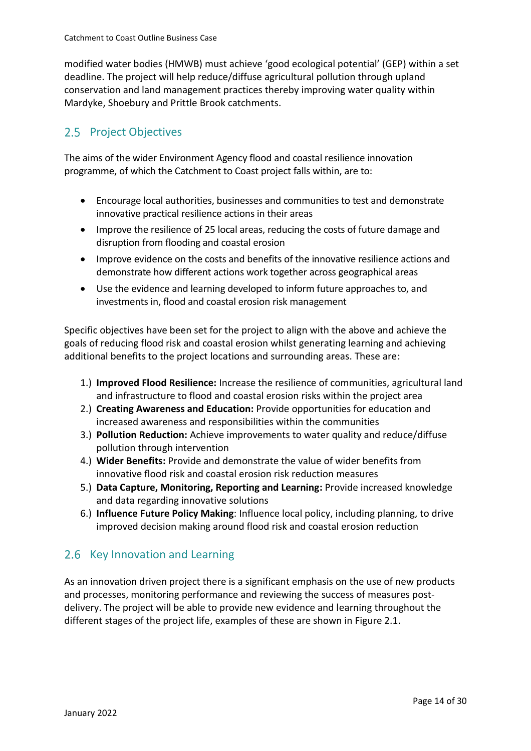modified water bodies (HMWB) must achieve 'good ecological potential' (GEP) within a set deadline. The project will help reduce/diffuse agricultural pollution through upland conservation and land management practices thereby improving water quality within Mardyke, Shoebury and Prittle Brook catchments.

### 2.5 Project Objectives

The aims of the wider Environment Agency flood and coastal resilience innovation programme, of which the Catchment to Coast project falls within, are to:

- Encourage local authorities, businesses and communities to test and demonstrate innovative practical resilience actions in their areas
- Improve the resilience of 25 local areas, reducing the costs of future damage and disruption from flooding and coastal erosion
- Improve evidence on the costs and benefits of the innovative resilience actions and demonstrate how different actions work together across geographical areas
- Use the evidence and learning developed to inform future approaches to, and investments in, flood and coastal erosion risk management

Specific objectives have been set for the project to align with the above and achieve the goals of reducing flood risk and coastal erosion whilst generating learning and achieving additional benefits to the project locations and surrounding areas. These are:

- 1.) **Improved Flood Resilience:** Increase the resilience of communities, agricultural land and infrastructure to flood and coastal erosion risks within the project area
- 2.) **Creating Awareness and Education:** Provide opportunities for education and increased awareness and responsibilities within the communities
- 3.) **Pollution Reduction:** Achieve improvements to water quality and reduce/diffuse pollution through intervention
- 4.) **Wider Benefits:** Provide and demonstrate the value of wider benefits from innovative flood risk and coastal erosion risk reduction measures
- 5.) **Data Capture, Monitoring, Reporting and Learning:** Provide increased knowledge and data regarding innovative solutions
- 6.) **Influence Future Policy Making**: Influence local policy, including planning, to drive improved decision making around flood risk and coastal erosion reduction

### 2.6 Key Innovation and Learning

As an innovation driven project there is a significant emphasis on the use of new products and processes, monitoring performance and reviewing the success of measures postdelivery. The project will be able to provide new evidence and learning throughout the different stages of the project life, examples of these are shown in Figure 2.1.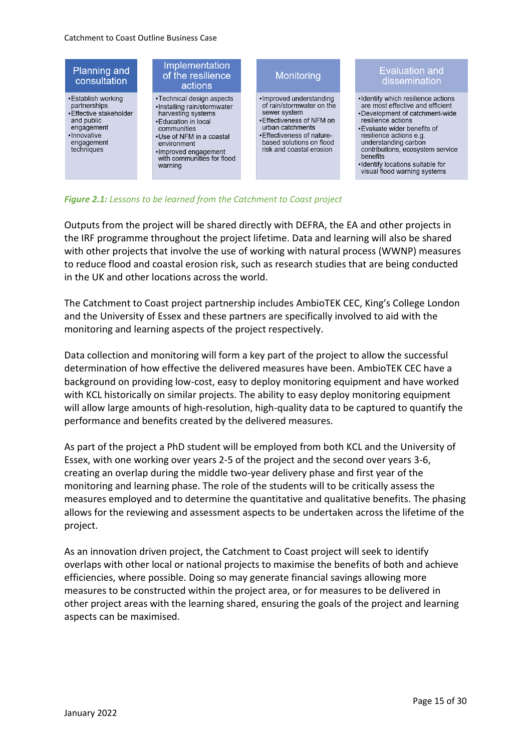

*Figure 2.1: Lessons to be learned from the Catchment to Coast project*

Outputs from the project will be shared directly with DEFRA, the EA and other projects in the IRF programme throughout the project lifetime. Data and learning will also be shared with other projects that involve the use of working with natural process (WWNP) measures to reduce flood and coastal erosion risk, such as research studies that are being conducted in the UK and other locations across the world.

The Catchment to Coast project partnership includes AmbioTEK CEC, King's College London and the University of Essex and these partners are specifically involved to aid with the monitoring and learning aspects of the project respectively.

Data collection and monitoring will form a key part of the project to allow the successful determination of how effective the delivered measures have been. AmbioTEK CEC have a background on providing low-cost, easy to deploy monitoring equipment and have worked with KCL historically on similar projects. The ability to easy deploy monitoring equipment will allow large amounts of high-resolution, high-quality data to be captured to quantify the performance and benefits created by the delivered measures.

As part of the project a PhD student will be employed from both KCL and the University of Essex, with one working over years 2-5 of the project and the second over years 3-6, creating an overlap during the middle two-year delivery phase and first year of the monitoring and learning phase. The role of the students will to be critically assess the measures employed and to determine the quantitative and qualitative benefits. The phasing allows for the reviewing and assessment aspects to be undertaken across the lifetime of the project.

As an innovation driven project, the Catchment to Coast project will seek to identify overlaps with other local or national projects to maximise the benefits of both and achieve efficiencies, where possible. Doing so may generate financial savings allowing more measures to be constructed within the project area, or for measures to be delivered in other project areas with the learning shared, ensuring the goals of the project and learning aspects can be maximised.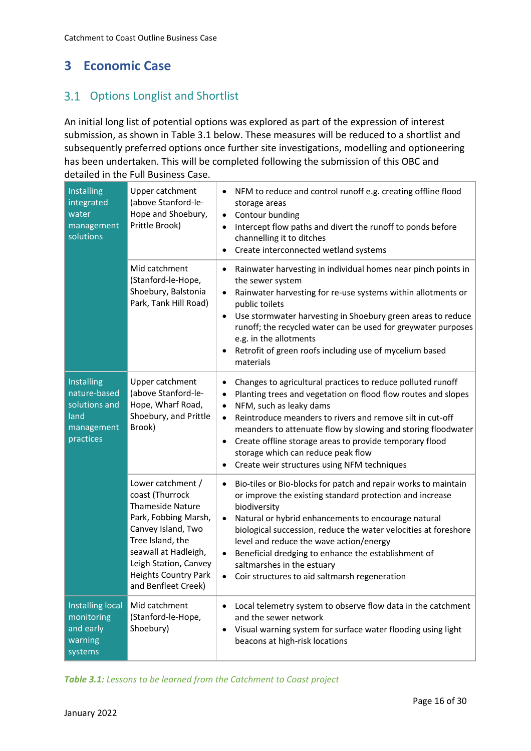# **3 Economic Case**

### 3.1 Options Longlist and Shortlist

An initial long list of potential options was explored as part of the expression of interest submission, as shown in Table 3.1 below. These measures will be reduced to a shortlist and subsequently preferred options once further site investigations, modelling and optioneering has been undertaken. This will be completed following the submission of this OBC and detailed in the Full Business Case.

| Installing<br>integrated<br>water<br>management<br>solutions                   | Upper catchment<br>(above Stanford-le-<br>Hope and Shoebury,<br>Prittle Brook)                                                                                                                                                    | NFM to reduce and control runoff e.g. creating offline flood<br>storage areas<br>Contour bunding<br>$\bullet$<br>Intercept flow paths and divert the runoff to ponds before<br>$\bullet$<br>channelling it to ditches<br>Create interconnected wetland systems                                                                                                                                                                                                      |
|--------------------------------------------------------------------------------|-----------------------------------------------------------------------------------------------------------------------------------------------------------------------------------------------------------------------------------|---------------------------------------------------------------------------------------------------------------------------------------------------------------------------------------------------------------------------------------------------------------------------------------------------------------------------------------------------------------------------------------------------------------------------------------------------------------------|
|                                                                                | Mid catchment<br>(Stanford-le-Hope,<br>Shoebury, Balstonia<br>Park, Tank Hill Road)                                                                                                                                               | Rainwater harvesting in individual homes near pinch points in<br>$\bullet$<br>the sewer system<br>Rainwater harvesting for re-use systems within allotments or<br>public toilets<br>Use stormwater harvesting in Shoebury green areas to reduce<br>$\bullet$<br>runoff; the recycled water can be used for greywater purposes<br>e.g. in the allotments<br>Retrofit of green roofs including use of mycelium based<br>materials                                     |
| Installing<br>nature-based<br>solutions and<br>land<br>management<br>practices | Upper catchment<br>(above Stanford-le-<br>Hope, Wharf Road,<br>Shoebury, and Prittle<br>Brook)                                                                                                                                    | Changes to agricultural practices to reduce polluted runoff<br>٠<br>Planting trees and vegetation on flood flow routes and slopes<br>NFM, such as leaky dams<br>$\bullet$<br>Reintroduce meanders to rivers and remove silt in cut-off<br>$\bullet$<br>meanders to attenuate flow by slowing and storing floodwater<br>Create offline storage areas to provide temporary flood<br>storage which can reduce peak flow<br>Create weir structures using NFM techniques |
|                                                                                | Lower catchment /<br>coast (Thurrock<br>Thameside Nature<br>Park, Fobbing Marsh,<br>Canvey Island, Two<br>Tree Island, the<br>seawall at Hadleigh,<br>Leigh Station, Canvey<br><b>Heights Country Park</b><br>and Benfleet Creek) | Bio-tiles or Bio-blocks for patch and repair works to maintain<br>$\bullet$<br>or improve the existing standard protection and increase<br>biodiversity<br>Natural or hybrid enhancements to encourage natural<br>biological succession, reduce the water velocities at foreshore<br>level and reduce the wave action/energy<br>Beneficial dredging to enhance the establishment of<br>saltmarshes in the estuary<br>Coir structures to aid saltmarsh regeneration  |
| <b>Installing local</b><br>monitoring<br>and early<br>warning<br>systems       | Mid catchment<br>(Stanford-le-Hope,<br>Shoebury)                                                                                                                                                                                  | Local telemetry system to observe flow data in the catchment<br>$\bullet$<br>and the sewer network<br>Visual warning system for surface water flooding using light<br>beacons at high-risk locations                                                                                                                                                                                                                                                                |

*Table 3.1: Lessons to be learned from the Catchment to Coast project*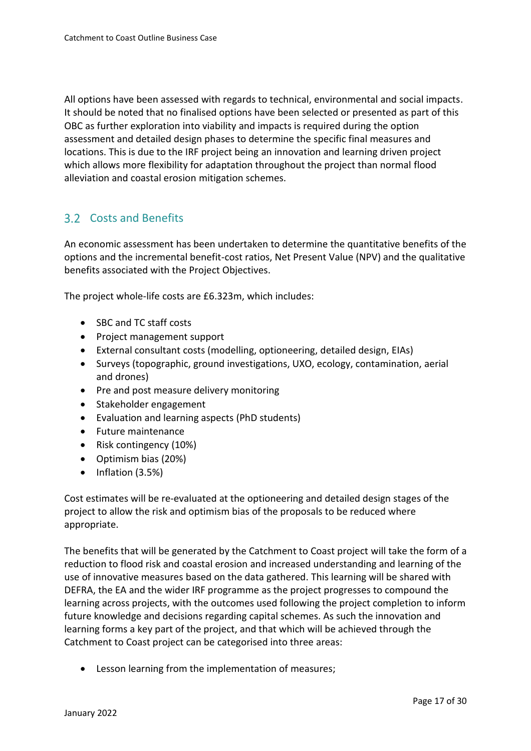All options have been assessed with regards to technical, environmental and social impacts. It should be noted that no finalised options have been selected or presented as part of this OBC as further exploration into viability and impacts is required during the option assessment and detailed design phases to determine the specific final measures and locations. This is due to the IRF project being an innovation and learning driven project which allows more flexibility for adaptation throughout the project than normal flood alleviation and coastal erosion mitigation schemes.

#### **3.2 Costs and Benefits**

An economic assessment has been undertaken to determine the quantitative benefits of the options and the incremental benefit-cost ratios, Net Present Value (NPV) and the qualitative benefits associated with the Project Objectives.

The project whole-life costs are £6.323m, which includes:

- SBC and TC staff costs
- Project management support
- External consultant costs (modelling, optioneering, detailed design, EIAs)
- Surveys (topographic, ground investigations, UXO, ecology, contamination, aerial and drones)
- Pre and post measure delivery monitoring
- Stakeholder engagement
- Evaluation and learning aspects (PhD students)
- Future maintenance
- Risk contingency (10%)
- Optimism bias (20%)
- Inflation (3.5%)

Cost estimates will be re-evaluated at the optioneering and detailed design stages of the project to allow the risk and optimism bias of the proposals to be reduced where appropriate.

The benefits that will be generated by the Catchment to Coast project will take the form of a reduction to flood risk and coastal erosion and increased understanding and learning of the use of innovative measures based on the data gathered. This learning will be shared with DEFRA, the EA and the wider IRF programme as the project progresses to compound the learning across projects, with the outcomes used following the project completion to inform future knowledge and decisions regarding capital schemes. As such the innovation and learning forms a key part of the project, and that which will be achieved through the Catchment to Coast project can be categorised into three areas:

• Lesson learning from the implementation of measures;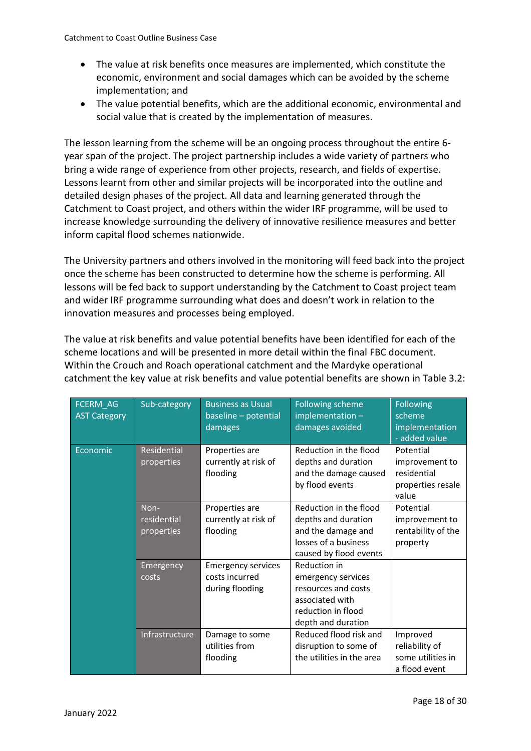- The value at risk benefits once measures are implemented, which constitute the economic, environment and social damages which can be avoided by the scheme implementation; and
- The value potential benefits, which are the additional economic, environmental and social value that is created by the implementation of measures.

The lesson learning from the scheme will be an ongoing process throughout the entire 6 year span of the project. The project partnership includes a wide variety of partners who bring a wide range of experience from other projects, research, and fields of expertise. Lessons learnt from other and similar projects will be incorporated into the outline and detailed design phases of the project. All data and learning generated through the Catchment to Coast project, and others within the wider IRF programme, will be used to increase knowledge surrounding the delivery of innovative resilience measures and better inform capital flood schemes nationwide.

The University partners and others involved in the monitoring will feed back into the project once the scheme has been constructed to determine how the scheme is performing. All lessons will be fed back to support understanding by the Catchment to Coast project team and wider IRF programme surrounding what does and doesn't work in relation to the innovation measures and processes being employed.

The value at risk benefits and value potential benefits have been identified for each of the scheme locations and will be presented in more detail within the final FBC document. Within the Crouch and Roach operational catchment and the Mardyke operational catchment the key value at risk benefits and value potential benefits are shown in Table 3.2:

| FCERM_AG<br><b>AST Category</b> | Sub-category                      | <b>Business as Usual</b><br>baseline - potential<br>damages    | <b>Following scheme</b><br>implementation-<br>damages avoided                                                            | <b>Following</b><br>scheme<br>implementation<br>- added value            |
|---------------------------------|-----------------------------------|----------------------------------------------------------------|--------------------------------------------------------------------------------------------------------------------------|--------------------------------------------------------------------------|
| Economic                        | Residential<br>properties         | Properties are<br>currently at risk of<br>flooding             | Reduction in the flood<br>depths and duration<br>and the damage caused<br>by flood events                                | Potential<br>improvement to<br>residential<br>properties resale<br>value |
|                                 | Non-<br>residential<br>properties | Properties are<br>currently at risk of<br>flooding             | Reduction in the flood<br>depths and duration<br>and the damage and<br>losses of a business<br>caused by flood events    | Potential<br>improvement to<br>rentability of the<br>property            |
|                                 | Emergency<br>costs                | <b>Emergency services</b><br>costs incurred<br>during flooding | Reduction in<br>emergency services<br>resources and costs<br>associated with<br>reduction in flood<br>depth and duration |                                                                          |
|                                 | Infrastructure                    | Damage to some<br>utilities from<br>flooding                   | Reduced flood risk and<br>disruption to some of<br>the utilities in the area                                             | Improved<br>reliability of<br>some utilities in<br>a flood event         |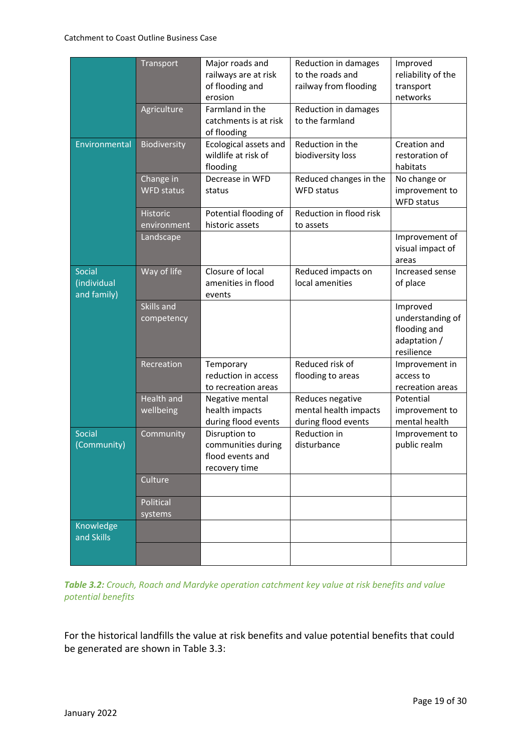|                                      | Transport                      | Major roads and<br>railways are at risk<br>of flooding and<br>erosion    | Reduction in damages<br>to the roads and<br>railway from flooding | Improved<br>reliability of the<br>transport<br>networks                    |
|--------------------------------------|--------------------------------|--------------------------------------------------------------------------|-------------------------------------------------------------------|----------------------------------------------------------------------------|
|                                      | Agriculture                    | Farmland in the<br>catchments is at risk<br>of flooding                  | Reduction in damages<br>to the farmland                           |                                                                            |
| Environmental                        | Biodiversity                   | Ecological assets and<br>wildlife at risk of<br>flooding                 | Reduction in the<br>biodiversity loss                             | Creation and<br>restoration of<br>habitats                                 |
|                                      | Change in<br><b>WFD status</b> | Decrease in WFD<br>status                                                | Reduced changes in the<br><b>WFD status</b>                       | No change or<br>improvement to<br><b>WFD</b> status                        |
|                                      | <b>Historic</b><br>environment | Potential flooding of<br>historic assets                                 | Reduction in flood risk<br>to assets                              |                                                                            |
|                                      | Landscape                      |                                                                          |                                                                   | Improvement of<br>visual impact of<br>areas                                |
| Social<br>(individual<br>and family) | Way of life                    | Closure of local<br>amenities in flood<br>events                         | Reduced impacts on<br>local amenities                             | Increased sense<br>of place                                                |
|                                      | Skills and<br>competency       |                                                                          |                                                                   | Improved<br>understanding of<br>flooding and<br>adaptation /<br>resilience |
|                                      | Recreation                     | Temporary<br>reduction in access<br>to recreation areas                  | Reduced risk of<br>flooding to areas                              | Improvement in<br>access to<br>recreation areas                            |
|                                      | <b>Health and</b><br>wellbeing | Negative mental<br>health impacts<br>during flood events                 | Reduces negative<br>mental health impacts<br>during flood events  | Potential<br>improvement to<br>mental health                               |
| <b>Social</b><br>(Community)         | Community                      | Disruption to<br>communities during<br>flood events and<br>recovery time | Reduction in<br>disturbance                                       | Improvement to<br>public realm                                             |
|                                      | Culture                        |                                                                          |                                                                   |                                                                            |
|                                      | Political<br>systems           |                                                                          |                                                                   |                                                                            |
| Knowledge<br>and Skills              |                                |                                                                          |                                                                   |                                                                            |
|                                      |                                |                                                                          |                                                                   |                                                                            |

*Table 3.2: Crouch, Roach and Mardyke operation catchment key value at risk benefits and value potential benefits*

For the historical landfills the value at risk benefits and value potential benefits that could be generated are shown in Table 3.3: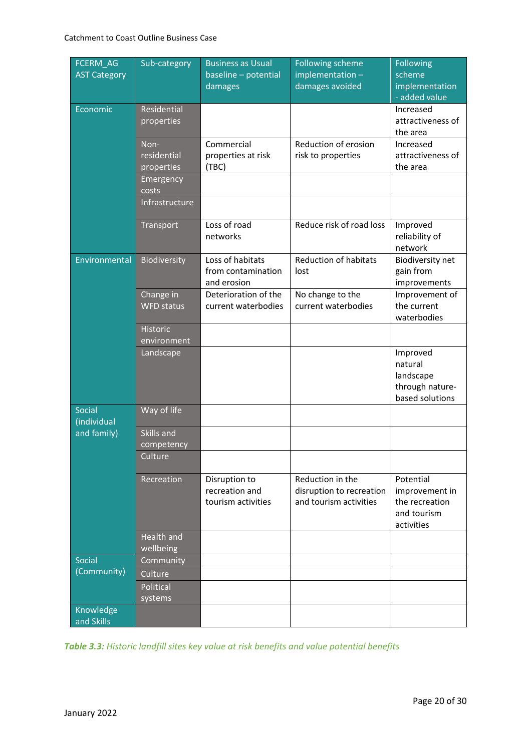| FCERM_AG<br><b>AST Category</b> | Sub-category                      | <b>Business as Usual</b><br>baseline - potential      | <b>Following scheme</b><br>$implementation -$                          | <b>Following</b><br>scheme                                                 |
|---------------------------------|-----------------------------------|-------------------------------------------------------|------------------------------------------------------------------------|----------------------------------------------------------------------------|
|                                 |                                   | damages                                               | damages avoided                                                        | implementation<br>- added value                                            |
| Economic                        | Residential<br>properties         |                                                       |                                                                        | Increased<br>attractiveness of<br>the area                                 |
|                                 | Non-<br>residential<br>properties | Commercial<br>properties at risk<br>(TBC)             | Reduction of erosion<br>risk to properties                             | Increased<br>attractiveness of<br>the area                                 |
|                                 | Emergency<br>costs                |                                                       |                                                                        |                                                                            |
|                                 | Infrastructure                    |                                                       |                                                                        |                                                                            |
|                                 | Transport                         | Loss of road<br>networks                              | Reduce risk of road loss                                               | Improved<br>reliability of<br>network                                      |
| Environmental                   | Biodiversity                      | Loss of habitats<br>from contamination<br>and erosion | <b>Reduction of habitats</b><br>lost                                   | Biodiversity net<br>gain from<br>improvements                              |
|                                 | Change in<br><b>WFD</b> status    | Deterioration of the<br>current waterbodies           | No change to the<br>current waterbodies                                | Improvement of<br>the current<br>waterbodies                               |
|                                 | <b>Historic</b><br>environment    |                                                       |                                                                        |                                                                            |
|                                 | Landscape                         |                                                       |                                                                        | Improved<br>natural<br>landscape<br>through nature-<br>based solutions     |
| Social<br>(individual           | Way of life                       |                                                       |                                                                        |                                                                            |
| and family)                     | Skills and<br>competency          |                                                       |                                                                        |                                                                            |
|                                 | Culture                           |                                                       |                                                                        |                                                                            |
|                                 | Recreation                        | Disruption to<br>recreation and<br>tourism activities | Reduction in the<br>disruption to recreation<br>and tourism activities | Potential<br>improvement in<br>the recreation<br>and tourism<br>activities |
|                                 | <b>Health and</b><br>wellbeing    |                                                       |                                                                        |                                                                            |
| Social                          | Community                         |                                                       |                                                                        |                                                                            |
| (Community)                     | Culture                           |                                                       |                                                                        |                                                                            |
|                                 | Political<br>systems              |                                                       |                                                                        |                                                                            |
| Knowledge<br>and Skills         |                                   |                                                       |                                                                        |                                                                            |

*Table 3.3: Historic landfill sites key value at risk benefits and value potential benefits*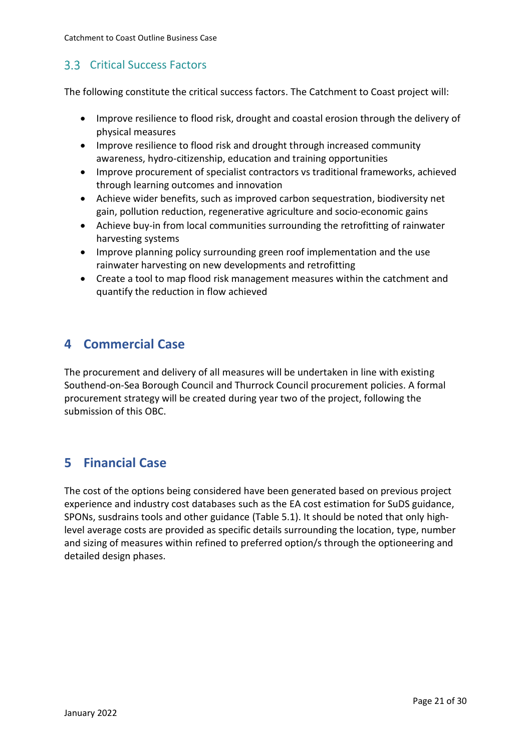Catchment to Coast Outline Business Case

### **3.3 Critical Success Factors**

The following constitute the critical success factors. The Catchment to Coast project will:

- Improve resilience to flood risk, drought and coastal erosion through the delivery of physical measures
- Improve resilience to flood risk and drought through increased community awareness, hydro-citizenship, education and training opportunities
- Improve procurement of specialist contractors vs traditional frameworks, achieved through learning outcomes and innovation
- Achieve wider benefits, such as improved carbon sequestration, biodiversity net gain, pollution reduction, regenerative agriculture and socio-economic gains
- Achieve buy-in from local communities surrounding the retrofitting of rainwater harvesting systems
- Improve planning policy surrounding green roof implementation and the use rainwater harvesting on new developments and retrofitting
- Create a tool to map flood risk management measures within the catchment and quantify the reduction in flow achieved

## **4 Commercial Case**

The procurement and delivery of all measures will be undertaken in line with existing Southend-on-Sea Borough Council and Thurrock Council procurement policies. A formal procurement strategy will be created during year two of the project, following the submission of this OBC.

## **5 Financial Case**

The cost of the options being considered have been generated based on previous project experience and industry cost databases such as the EA cost estimation for SuDS guidance, SPONs, susdrains tools and other guidance (Table 5.1). It should be noted that only highlevel average costs are provided as specific details surrounding the location, type, number and sizing of measures within refined to preferred option/s through the optioneering and detailed design phases.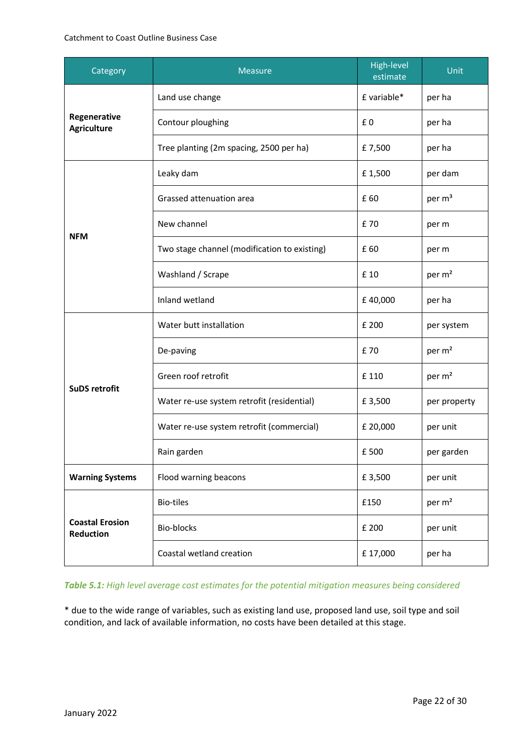#### Catchment to Coast Outline Business Case

| Category                            | <b>Measure</b>                               | High-level<br>estimate | Unit               |
|-------------------------------------|----------------------------------------------|------------------------|--------------------|
|                                     | Land use change                              | £ variable*            | per ha             |
| Regenerative<br><b>Agriculture</b>  | Contour ploughing                            | £0                     | per ha             |
|                                     | Tree planting (2m spacing, 2500 per ha)      | £7,500                 | per ha             |
|                                     | Leaky dam                                    | £1,500                 | per dam            |
| <b>NFM</b>                          | Grassed attenuation area                     | £60                    | per m <sup>3</sup> |
|                                     | New channel                                  | £70                    | per m              |
|                                     | Two stage channel (modification to existing) | £60                    | per m              |
|                                     | Washland / Scrape                            | £ 10                   | per m <sup>2</sup> |
|                                     | Inland wetland                               | £40,000                | per ha             |
| <b>SuDS retrofit</b>                | Water butt installation                      | £ 200                  | per system         |
|                                     | De-paving                                    | £70                    | per m <sup>2</sup> |
|                                     | Green roof retrofit                          | £ 110                  | per m <sup>2</sup> |
|                                     | Water re-use system retrofit (residential)   | £3,500                 | per property       |
|                                     | Water re-use system retrofit (commercial)    | £ 20,000               | per unit           |
|                                     | Rain garden                                  | £500                   | per garden         |
| <b>Warning Systems</b>              | Flood warning beacons                        |                        | per unit           |
| <b>Coastal Erosion</b><br>Reduction | <b>Bio-tiles</b>                             | £150                   | per m <sup>2</sup> |
|                                     | Bio-blocks                                   | £ 200                  | per unit           |
|                                     | Coastal wetland creation                     | £17,000                | per ha             |

#### *Table 5.1: High level average cost estimates for the potential mitigation measures being considered*

\* due to the wide range of variables, such as existing land use, proposed land use, soil type and soil condition, and lack of available information, no costs have been detailed at this stage.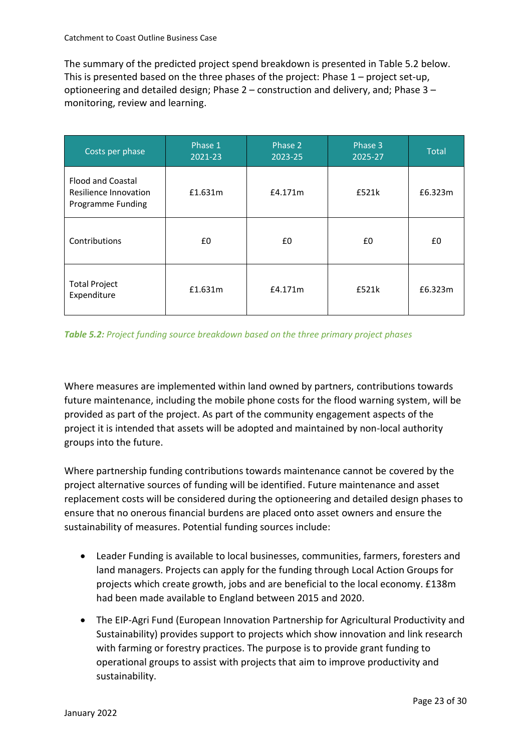The summary of the predicted project spend breakdown is presented in Table 5.2 below. This is presented based on the three phases of the project: Phase 1 – project set-up, optioneering and detailed design; Phase 2 – construction and delivery, and; Phase 3 – monitoring, review and learning.

| Costs per phase                                                        | Phase 1<br>2021-23 | Phase 2<br>2023-25 | Phase 3<br>2025-27 | <b>Total</b> |
|------------------------------------------------------------------------|--------------------|--------------------|--------------------|--------------|
| <b>Flood and Coastal</b><br>Resilience Innovation<br>Programme Funding | £1.631m            | £4.171m            | £521k              | £6.323m      |
| Contributions                                                          | £0                 | £0                 | £0                 | £0           |
| <b>Total Project</b><br>Expenditure                                    | £1.631m            | £4.171m            | £521k              | £6.323m      |

#### *Table 5.2: Project funding source breakdown based on the three primary project phases*

Where measures are implemented within land owned by partners, contributions towards future maintenance, including the mobile phone costs for the flood warning system, will be provided as part of the project. As part of the community engagement aspects of the project it is intended that assets will be adopted and maintained by non-local authority groups into the future.

Where partnership funding contributions towards maintenance cannot be covered by the project alternative sources of funding will be identified. Future maintenance and asset replacement costs will be considered during the optioneering and detailed design phases to ensure that no onerous financial burdens are placed onto asset owners and ensure the sustainability of measures. Potential funding sources include:

- Leader Funding is available to local businesses, communities, farmers, foresters and land managers. Projects can apply for the funding through Local Action Groups for projects which create growth, jobs and are beneficial to the local economy. £138m had been made available to England between 2015 and 2020.
- The EIP-Agri Fund (European Innovation Partnership for Agricultural Productivity and Sustainability) provides support to projects which show innovation and link research with farming or forestry practices. The purpose is to provide grant funding to operational groups to assist with projects that aim to improve productivity and sustainability.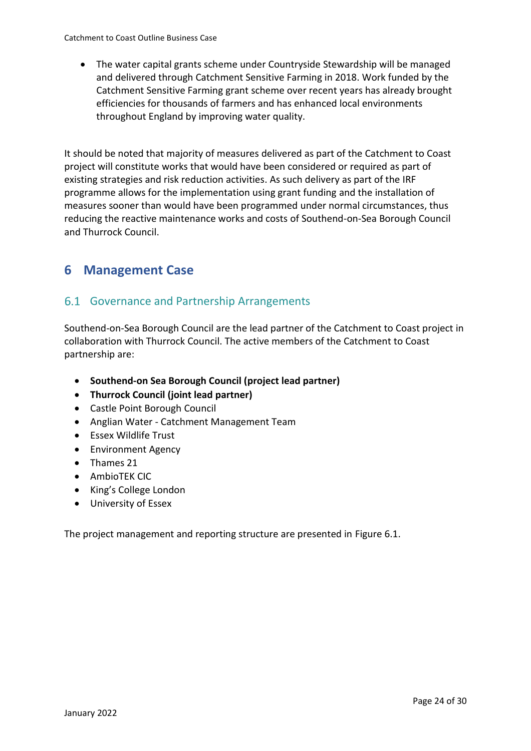• The water capital grants scheme under Countryside Stewardship will be managed and delivered through Catchment Sensitive Farming in 2018. Work funded by the Catchment Sensitive Farming grant scheme over recent years has already brought efficiencies for thousands of farmers and has enhanced local environments throughout England by improving water quality.

It should be noted that majority of measures delivered as part of the Catchment to Coast project will constitute works that would have been considered or required as part of existing strategies and risk reduction activities. As such delivery as part of the IRF programme allows for the implementation using grant funding and the installation of measures sooner than would have been programmed under normal circumstances, thus reducing the reactive maintenance works and costs of Southend-on-Sea Borough Council and Thurrock Council.

## **6 Management Case**

#### Governance and Partnership Arrangements

Southend-on-Sea Borough Council are the lead partner of the Catchment to Coast project in collaboration with Thurrock Council. The active members of the Catchment to Coast partnership are:

- **Southend-on Sea Borough Council (project lead partner)**
- **Thurrock Council (joint lead partner)**
- Castle Point Borough Council
- Anglian Water Catchment Management Team
- Essex Wildlife Trust
- Environment Agency
- Thames 21
- AmbioTEK CIC
- King's College London
- University of Essex

The project management and reporting structure are presented in Figure 6.1.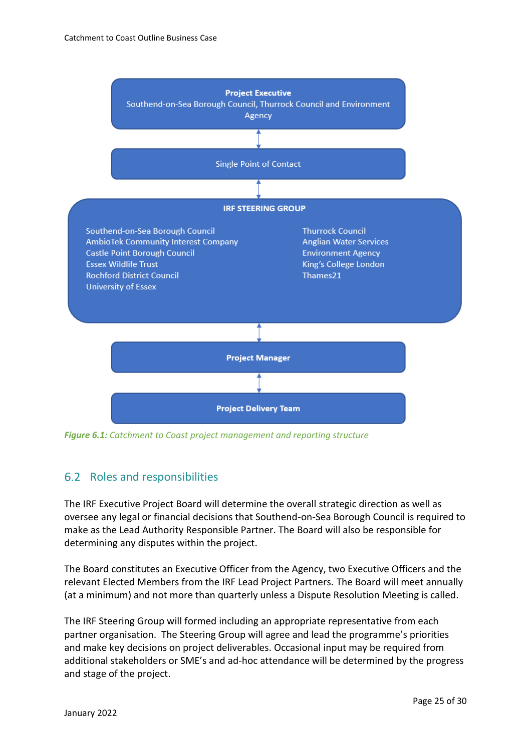

*Figure 6.1: Catchment to Coast project management and reporting structure*

#### 6.2 Roles and responsibilities

The IRF Executive Project Board will determine the overall strategic direction as well as oversee any legal or financial decisions that Southend-on-Sea Borough Council is required to make as the Lead Authority Responsible Partner. The Board will also be responsible for determining any disputes within the project.

The Board constitutes an Executive Officer from the Agency, two Executive Officers and the relevant Elected Members from the IRF Lead Project Partners. The Board will meet annually (at a minimum) and not more than quarterly unless a Dispute Resolution Meeting is called.

The IRF Steering Group will formed including an appropriate representative from each partner organisation. The Steering Group will agree and lead the programme's priorities and make key decisions on project deliverables. Occasional input may be required from additional stakeholders or SME's and ad-hoc attendance will be determined by the progress and stage of the project.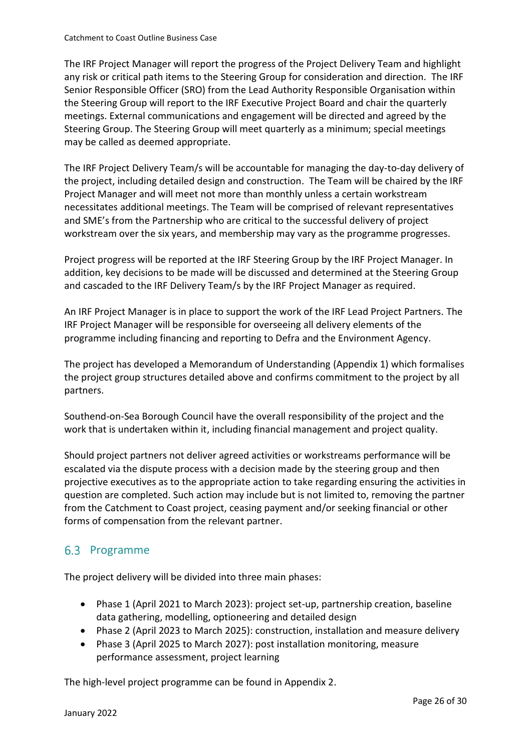The IRF Project Manager will report the progress of the Project Delivery Team and highlight any risk or critical path items to the Steering Group for consideration and direction. The IRF Senior Responsible Officer (SRO) from the Lead Authority Responsible Organisation within the Steering Group will report to the IRF Executive Project Board and chair the quarterly meetings. External communications and engagement will be directed and agreed by the Steering Group. The Steering Group will meet quarterly as a minimum; special meetings may be called as deemed appropriate.

The IRF Project Delivery Team/s will be accountable for managing the day-to-day delivery of the project, including detailed design and construction. The Team will be chaired by the IRF Project Manager and will meet not more than monthly unless a certain workstream necessitates additional meetings. The Team will be comprised of relevant representatives and SME's from the Partnership who are critical to the successful delivery of project workstream over the six years, and membership may vary as the programme progresses.

Project progress will be reported at the IRF Steering Group by the IRF Project Manager. In addition, key decisions to be made will be discussed and determined at the Steering Group and cascaded to the IRF Delivery Team/s by the IRF Project Manager as required.

An IRF Project Manager is in place to support the work of the IRF Lead Project Partners. The IRF Project Manager will be responsible for overseeing all delivery elements of the programme including financing and reporting to Defra and the Environment Agency.

The project has developed a Memorandum of Understanding (Appendix 1) which formalises the project group structures detailed above and confirms commitment to the project by all partners.

Southend-on-Sea Borough Council have the overall responsibility of the project and the work that is undertaken within it, including financial management and project quality.

Should project partners not deliver agreed activities or workstreams performance will be escalated via the dispute process with a decision made by the steering group and then projective executives as to the appropriate action to take regarding ensuring the activities in question are completed. Such action may include but is not limited to, removing the partner from the Catchment to Coast project, ceasing payment and/or seeking financial or other forms of compensation from the relevant partner.

### 6.3 Programme

The project delivery will be divided into three main phases:

- Phase 1 (April 2021 to March 2023): project set-up, partnership creation, baseline data gathering, modelling, optioneering and detailed design
- Phase 2 (April 2023 to March 2025): construction, installation and measure delivery
- Phase 3 (April 2025 to March 2027): post installation monitoring, measure performance assessment, project learning

The high-level project programme can be found in Appendix 2.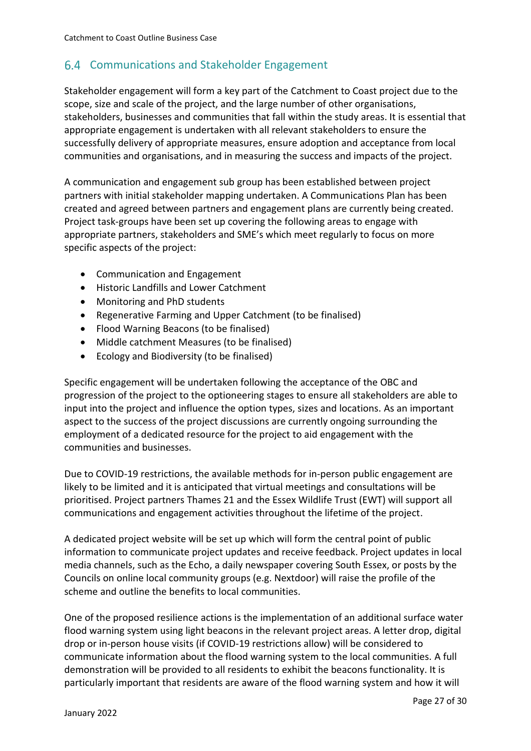#### 6.4 Communications and Stakeholder Engagement

Stakeholder engagement will form a key part of the Catchment to Coast project due to the scope, size and scale of the project, and the large number of other organisations, stakeholders, businesses and communities that fall within the study areas. It is essential that appropriate engagement is undertaken with all relevant stakeholders to ensure the successfully delivery of appropriate measures, ensure adoption and acceptance from local communities and organisations, and in measuring the success and impacts of the project.

A communication and engagement sub group has been established between project partners with initial stakeholder mapping undertaken. A Communications Plan has been created and agreed between partners and engagement plans are currently being created. Project task-groups have been set up covering the following areas to engage with appropriate partners, stakeholders and SME's which meet regularly to focus on more specific aspects of the project:

- Communication and Engagement
- Historic Landfills and Lower Catchment
- Monitoring and PhD students
- Regenerative Farming and Upper Catchment (to be finalised)
- Flood Warning Beacons (to be finalised)
- Middle catchment Measures (to be finalised)
- Ecology and Biodiversity (to be finalised)

Specific engagement will be undertaken following the acceptance of the OBC and progression of the project to the optioneering stages to ensure all stakeholders are able to input into the project and influence the option types, sizes and locations. As an important aspect to the success of the project discussions are currently ongoing surrounding the employment of a dedicated resource for the project to aid engagement with the communities and businesses.

Due to COVID-19 restrictions, the available methods for in-person public engagement are likely to be limited and it is anticipated that virtual meetings and consultations will be prioritised. Project partners Thames 21 and the Essex Wildlife Trust (EWT) will support all communications and engagement activities throughout the lifetime of the project.

A dedicated project website will be set up which will form the central point of public information to communicate project updates and receive feedback. Project updates in local media channels, such as the Echo, a daily newspaper covering South Essex, or posts by the Councils on online local community groups (e.g. Nextdoor) will raise the profile of the scheme and outline the benefits to local communities.

One of the proposed resilience actions is the implementation of an additional surface water flood warning system using light beacons in the relevant project areas. A letter drop, digital drop or in-person house visits (if COVID-19 restrictions allow) will be considered to communicate information about the flood warning system to the local communities. A full demonstration will be provided to all residents to exhibit the beacons functionality. It is particularly important that residents are aware of the flood warning system and how it will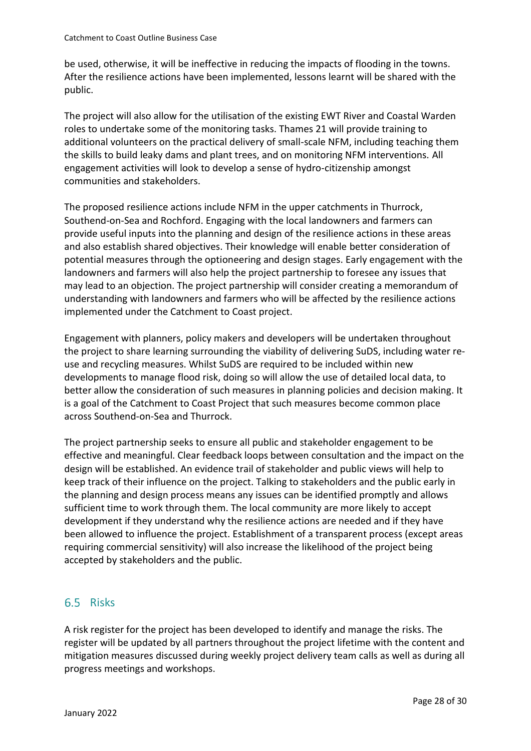be used, otherwise, it will be ineffective in reducing the impacts of flooding in the towns. After the resilience actions have been implemented, lessons learnt will be shared with the public.

The project will also allow for the utilisation of the existing EWT River and Coastal Warden roles to undertake some of the monitoring tasks. Thames 21 will provide training to additional volunteers on the practical delivery of small-scale NFM, including teaching them the skills to build leaky dams and plant trees, and on monitoring NFM interventions. All engagement activities will look to develop a sense of hydro-citizenship amongst communities and stakeholders.

The proposed resilience actions include NFM in the upper catchments in Thurrock, Southend-on-Sea and Rochford. Engaging with the local landowners and farmers can provide useful inputs into the planning and design of the resilience actions in these areas and also establish shared objectives. Their knowledge will enable better consideration of potential measures through the optioneering and design stages. Early engagement with the landowners and farmers will also help the project partnership to foresee any issues that may lead to an objection. The project partnership will consider creating a memorandum of understanding with landowners and farmers who will be affected by the resilience actions implemented under the Catchment to Coast project.

Engagement with planners, policy makers and developers will be undertaken throughout the project to share learning surrounding the viability of delivering SuDS, including water reuse and recycling measures. Whilst SuDS are required to be included within new developments to manage flood risk, doing so will allow the use of detailed local data, to better allow the consideration of such measures in planning policies and decision making. It is a goal of the Catchment to Coast Project that such measures become common place across Southend-on-Sea and Thurrock.

The project partnership seeks to ensure all public and stakeholder engagement to be effective and meaningful. Clear feedback loops between consultation and the impact on the design will be established. An evidence trail of stakeholder and public views will help to keep track of their influence on the project. Talking to stakeholders and the public early in the planning and design process means any issues can be identified promptly and allows sufficient time to work through them. The local community are more likely to accept development if they understand why the resilience actions are needed and if they have been allowed to influence the project. Establishment of a transparent process (except areas requiring commercial sensitivity) will also increase the likelihood of the project being accepted by stakeholders and the public.

#### 6.5 Risks

A risk register for the project has been developed to identify and manage the risks. The register will be updated by all partners throughout the project lifetime with the content and mitigation measures discussed during weekly project delivery team calls as well as during all progress meetings and workshops.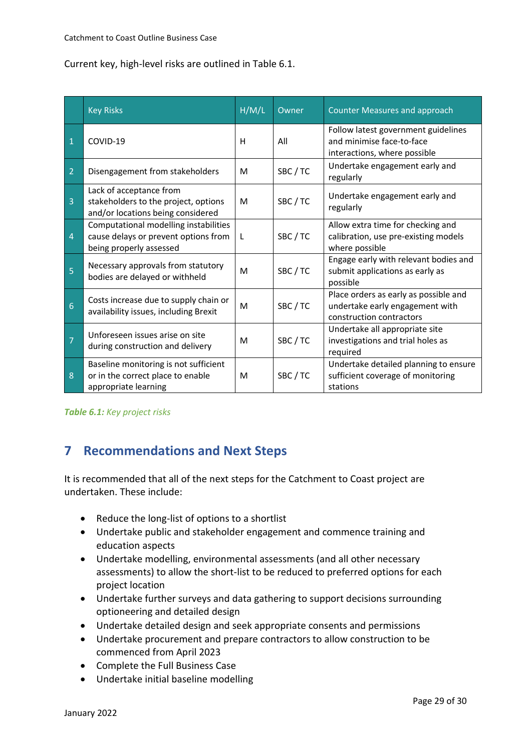Current key, high-level risks are outlined in Table 6.1.

|                          | <b>Key Risks</b>                                                                                         | H/M/L | Owner  | <b>Counter Measures and approach</b>                                                                 |
|--------------------------|----------------------------------------------------------------------------------------------------------|-------|--------|------------------------------------------------------------------------------------------------------|
| $\overline{1}$           | COVID-19                                                                                                 | н     | All    | Follow latest government guidelines<br>and minimise face-to-face<br>interactions, where possible     |
| $\vert$ 2                | Disengagement from stakeholders                                                                          | м     | SBC/TC | Undertake engagement early and<br>regularly                                                          |
| $\vert$ 3                | Lack of acceptance from<br>stakeholders to the project, options<br>and/or locations being considered     | м     | SBC/TC | Undertake engagement early and<br>regularly                                                          |
| $\vert 4$                | Computational modelling instabilities<br>cause delays or prevent options from<br>being properly assessed | L     | SBC/TC | Allow extra time for checking and<br>calibration, use pre-existing models<br>where possible          |
| 5                        | Necessary approvals from statutory<br>bodies are delayed or withheld                                     | M     | SBC/TC | Engage early with relevant bodies and<br>submit applications as early as<br>possible                 |
| $6\overline{6}$          | Costs increase due to supply chain or<br>availability issues, including Brexit                           | м     | SBC/TC | Place orders as early as possible and<br>undertake early engagement with<br>construction contractors |
| $\overline{\phantom{a}}$ | Unforeseen issues arise on site<br>during construction and delivery                                      | м     | SBC/TC | Undertake all appropriate site<br>investigations and trial holes as<br>required                      |
| 8                        | Baseline monitoring is not sufficient<br>or in the correct place to enable<br>appropriate learning       | M     | SBC/TC | Undertake detailed planning to ensure<br>sufficient coverage of monitoring<br>stations               |

*Table 6.1: Key project risks*

## **7 Recommendations and Next Steps**

It is recommended that all of the next steps for the Catchment to Coast project are undertaken. These include:

- Reduce the long-list of options to a shortlist
- Undertake public and stakeholder engagement and commence training and education aspects
- Undertake modelling, environmental assessments (and all other necessary assessments) to allow the short-list to be reduced to preferred options for each project location
- Undertake further surveys and data gathering to support decisions surrounding optioneering and detailed design
- Undertake detailed design and seek appropriate consents and permissions
- Undertake procurement and prepare contractors to allow construction to be commenced from April 2023
- Complete the Full Business Case
- Undertake initial baseline modelling